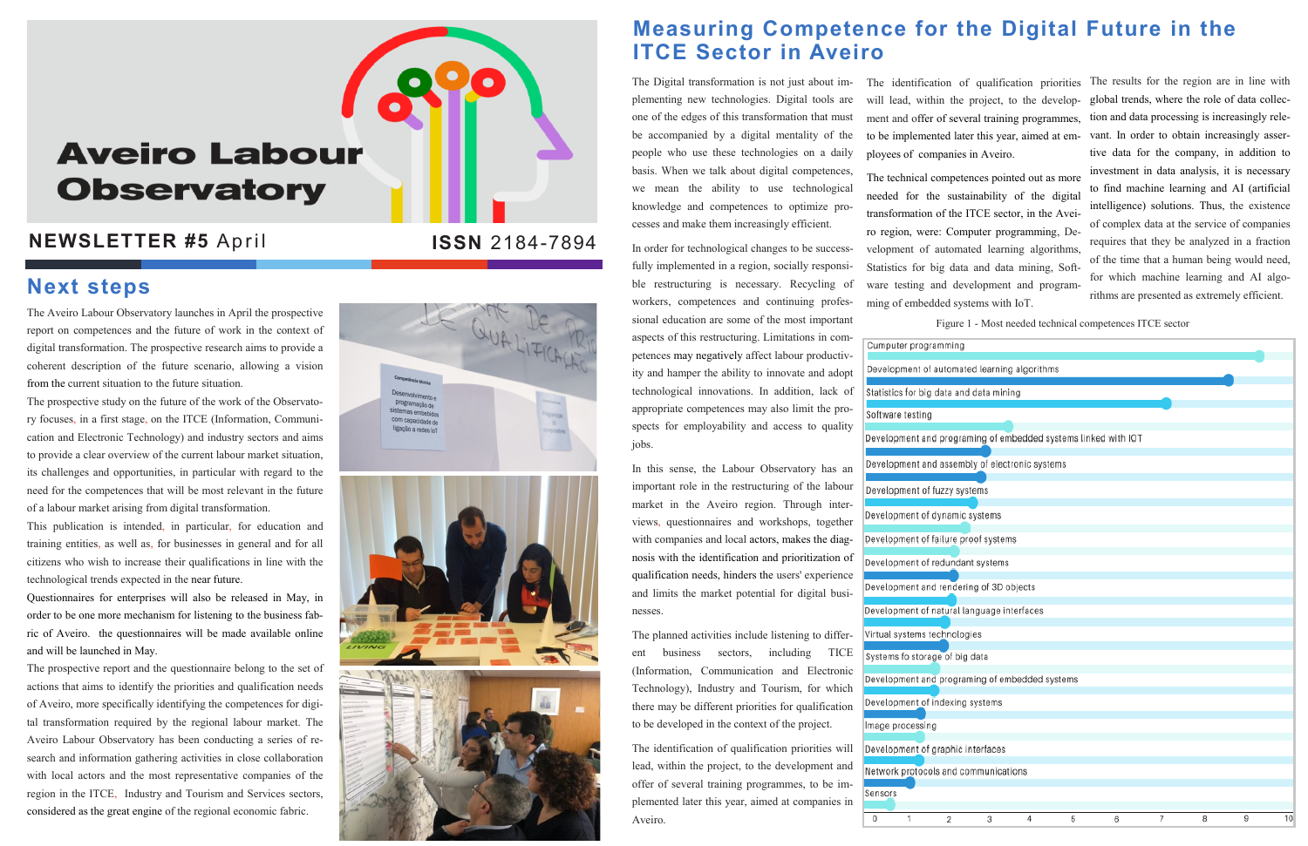# **Aveiro Labour Observatory**

#### **NEWSLETTER #5 April**

The Aveiro Labour Observatory launches in April the prospective report on competences and the future of work in the context of digital transformation. The prospective research aims to provide a coherent description of the future scenario, allowing a vision from the current situation to the future situation.

The prospective study on the future of the work of the Observatory focuses, in a first stage, on the ITCE (Information, Communication and Electronic Technology) and industry sectors and aims to provide a clear overview of the current labour market situation, its challenges and opportunities, in particular with regard to the need for the competences that will be most relevant in the future of a labour market arising from digital transformation.

This publication is intended, in particular, for education and training entities, as well as, for businesses in general and for all citizens who wish to increase their qualifications in line with the technological trends expected in the near future.

Questionnaires for enterprises will also be released in May, in order to be one more mechanism for listening to the business fabric of Aveiro. the questionnaires will be made available online and will be launched in May.

The prospective report and the questionnaire belong to the set of actions that aims to identify the priorities and qualification needs of Aveiro, more specifically identifying the competences for digital transformation required by the regional labour market. The Aveiro Labour Observatory has been conducting a series of research and information gathering activities in close collaboration with local actors and the most representative companies of the region in the ITCE, Industry and Tourism and Services sectors, considered as the great engine of the regional economic fabric.

QUALIFICA Desenvolvimento e programação de<br>Sistemas embebidos com capacidade de ligação a redes lo





### **Measuring Competence for the Digital Future in the ITCE Sector in Aveiro**

The Digital transformation is not just about implementing new technologies. Digital tools are one of the edges of this transformation that must be accompanied by a digital mentality of the people who use these technologies on a daily basis. When we talk about digital competences, we mean the ability to use technological knowledge and competences to optimize processes and make them increasingly efficient.

In order for technological changes to be successfully implemented in a region, socially responsible restructuring is necessary. Recycling of workers, competences and continuing professional education are some of the most important aspects of this restructuring. Limitations in competences may negatively affect labour productivity and hamper the ability to innovate and adopt technological innovations. In addition, lack of appropriate competences may also limit the prospects for employability and access to quality jobs.

In this sense, the Labour Observatory has an important role in the restructuring of the labour market in the Aveiro region. Through interviews, questionnaires and workshops, together with companies and local actors, makes the diagnosis with the identification and prioritization of qualification needs, hinders the users' experience and limits the market potential for digital businesses.

The planned activities include listening to different business sectors, including TICE (Information, Communication and Electronic Technology), Industry and Tourism, for which there may be different priorities for qualification to be developed in the context of the project.

The identification of qualification priorities will lead, within the project, to the development and offer of several training programmes, to be implemented later this year, aimed at companies in Aveiro.

#### **Next steps**

Figure 1 - Most needed technical competences ITCE sector

| g                                         |   |   |   |   |   |   |    |
|-------------------------------------------|---|---|---|---|---|---|----|
| ated learning algorithms                  |   |   |   |   |   |   |    |
| nd data mining                            |   |   |   |   |   |   |    |
|                                           |   |   |   |   |   |   |    |
| aming of embedded systems linked with IOT |   |   |   |   |   |   |    |
| nbly of electronic systems                |   |   |   |   |   |   |    |
| ystems                                    |   |   |   |   |   |   |    |
| c systems                                 |   |   |   |   |   |   |    |
| proof systems                             |   |   |   |   |   |   |    |
| ant systems                               |   |   |   |   |   |   |    |
| ring of 3D objects                        |   |   |   |   |   |   |    |
| language interfaces                       |   |   |   |   |   |   |    |
| ogies                                     |   |   |   |   |   |   |    |
| ig data                                   |   |   |   |   |   |   |    |
| aming of embedded systems                 |   |   |   |   |   |   |    |
| g systems                                 |   |   |   |   |   |   |    |
|                                           |   |   |   |   |   |   |    |
| : interfaces                              |   |   |   |   |   |   |    |
| communications                            |   |   |   |   |   |   |    |
|                                           |   |   |   |   |   |   |    |
| 3                                         | 4 | 5 | 6 | 7 | 8 | 9 | 10 |

The identification of qualification priorities will lead, within the project, to the development and offer of several training programmes, to be implemented later this year, aimed at employees of companies in Aveiro.

The technical competences pointed out as more needed for the sustainability of the digital transformation of the ITCE sector, in the Aveiro region, were: Computer programming, Development of automated learning algorithms, Statistics for big data and data mining, Software testing and development and programming of embedded systems with IoT.

Cumputer programming Development of automa Statistics for big data a Software testing Development and progr Development and asser Development of fuzzy s Development of dynami Development of failure Development of redund Development and rende Development of natural Virtual systems technol Systems fo storage of b Development and progr Development of indexin mage processing Development of graphic Network protocols and Sensors

 $\overline{2}$ 

 $^{\circ}$ 

The results for the region are in line with global trends, where the role of data collection and data processing is increasingly relevant. In order to obtain increasingly assertive data for the company, in addition to investment in data analysis, it is necessary to find machine learning and AI (artificial intelligence) solutions. Thus, the existence of complex data at the service of companies requires that they be analyzed in a fraction of the time that a human being would need, for which machine learning and AI algorithms are presented as extremely efficient.

**ISSN** 2184-7894